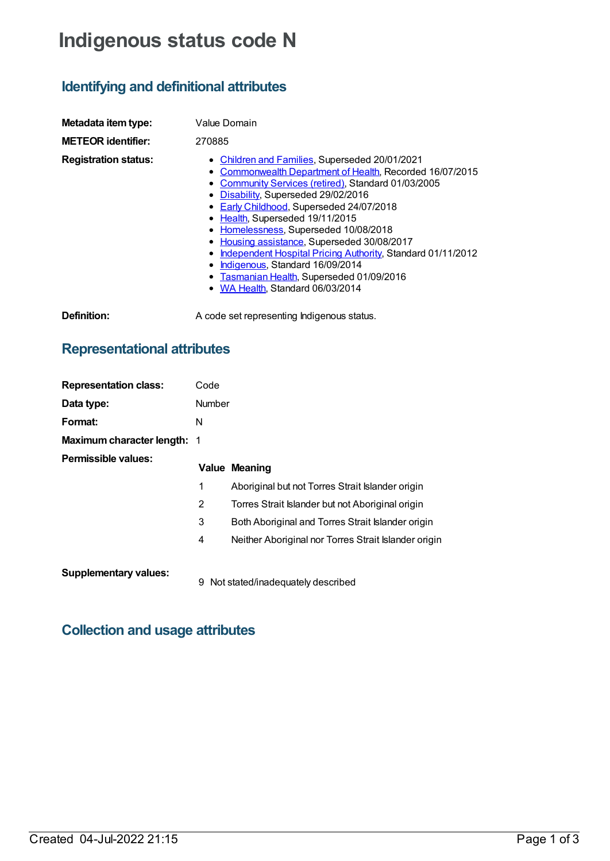# **Indigenous status code N**

## **Identifying and definitional attributes**

| Metadata item type:         | Value Domain                                                                                                                                                                                                                                                                                                                                                                                                                                                                                                                                                                                |  |  |
|-----------------------------|---------------------------------------------------------------------------------------------------------------------------------------------------------------------------------------------------------------------------------------------------------------------------------------------------------------------------------------------------------------------------------------------------------------------------------------------------------------------------------------------------------------------------------------------------------------------------------------------|--|--|
| <b>METEOR identifier:</b>   | 270885                                                                                                                                                                                                                                                                                                                                                                                                                                                                                                                                                                                      |  |  |
| <b>Registration status:</b> | • Children and Families, Superseded 20/01/2021<br>Commonwealth Department of Health, Recorded 16/07/2015<br>Community Services (retired), Standard 01/03/2005<br>• Disability, Superseded 29/02/2016<br>• Early Childhood, Superseded 24/07/2018<br>• Health, Superseded 19/11/2015<br>• Homelessness, Superseded 10/08/2018<br>• Housing assistance, Superseded 30/08/2017<br>Independent Hospital Pricing Authority, Standard 01/11/2012<br>٠<br>Indigenous, Standard 16/09/2014<br>$\bullet$<br>Tasmanian Health, Superseded 01/09/2016<br>$\bullet$<br>• WA Health, Standard 06/03/2014 |  |  |
| Definition:                 | A code set representing Indigenous status.                                                                                                                                                                                                                                                                                                                                                                                                                                                                                                                                                  |  |  |

### **Representational attributes**

| <b>Representation class:</b>       | Code   |                                                      |  |
|------------------------------------|--------|------------------------------------------------------|--|
| Data type:                         | Number |                                                      |  |
| Format:                            | N      |                                                      |  |
| <b>Maximum character length: 1</b> |        |                                                      |  |
| Permissible values:                |        |                                                      |  |
|                                    |        | <b>Value Meaning</b>                                 |  |
|                                    | 1      | Aboriginal but not Torres Strait Islander origin     |  |
|                                    | 2      | Torres Strait Islander but not Aboriginal origin     |  |
|                                    | 3      | Both Aboriginal and Torres Strait Islander origin    |  |
|                                    | 4      | Neither Aboriginal nor Torres Strait Islander origin |  |
| <b>Supplementary values:</b>       | 9      | Not stated/inadequately described                    |  |

# **Collection and usage attributes**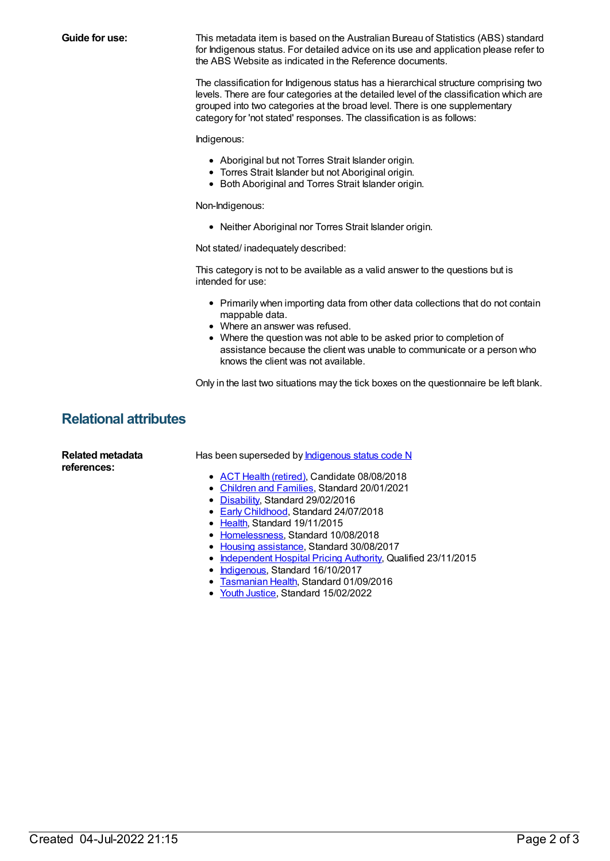**Guide for use:** This metadata item is based on the Australian Bureau of Statistics (ABS) standard for Indigenous status. For detailed advice on its use and application please refer to the ABS Website as indicated in the Reference documents. The classification for Indigenous status has a hierarchical structure comprising two levels. There are four categories at the detailed level of the classification which are grouped into two categories at the broad level. There is one supplementary category for 'not stated' responses. The classification is as follows: Indigenous: Aboriginal but not Torres Strait Islander origin. Torres Strait Islander but not Aboriginal origin. • Both Aboriginal and Torres Strait Islander origin. Non-Indigenous: Neither Aboriginal nor Torres Strait Islander origin. Not stated/ inadequately described: This category is not to be available as a valid answer to the questions but is intended for use: Primarily when importing data from other data collections that do not contain mappable data. Where an answer was refused. Where the question was not able to be asked prior to completion of assistance because the client was unable to communicate or a person who knows the client was not available. Only in the last two situations may the tick boxes on the questionnaire be left blank. **Relational attributes Related metadata references:** Has been superseded by **[Indigenous](https://meteor.aihw.gov.au/content/602545) status code N** • ACT Health [\(retired\)](https://meteor.aihw.gov.au/RegistrationAuthority/9), Candidate 08/08/2018 • [Children](https://meteor.aihw.gov.au/RegistrationAuthority/17) and Families, Standard 20/01/2021 • [Disability](https://meteor.aihw.gov.au/RegistrationAuthority/16), Standard 29/02/2016 **Early [Childhood](https://meteor.aihw.gov.au/RegistrationAuthority/13), Standard 24/07/2018** • [Health](https://meteor.aihw.gov.au/RegistrationAuthority/12), Standard 19/11/2015 • [Homelessness](https://meteor.aihw.gov.au/RegistrationAuthority/14), Standard 10/08/2018 • Housing [assistance](https://meteor.aihw.gov.au/RegistrationAuthority/11), Standard 30/08/2017 • [Independent](https://meteor.aihw.gov.au/RegistrationAuthority/3) Hospital Pricing Authority, Qualified 23/11/2015 • [Indigenous](https://meteor.aihw.gov.au/RegistrationAuthority/6), Standard 16/10/2017 **[Tasmanian](https://meteor.aihw.gov.au/RegistrationAuthority/15) Health, Standard 01/09/2016** • Youth [Justice](https://meteor.aihw.gov.au/RegistrationAuthority/4), Standard 15/02/2022